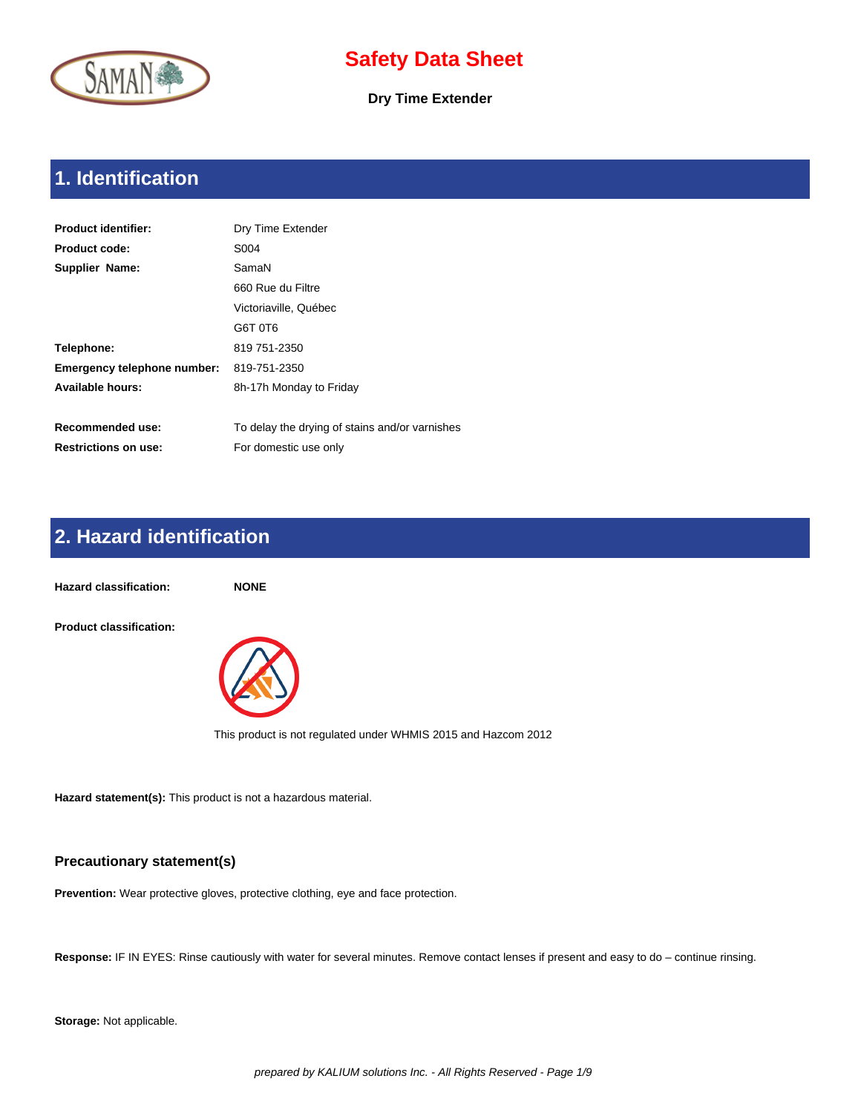

**Dry Time Extender**

# **1. Identification**

| <b>Product identifier:</b>         | Dry Time Extender                              |
|------------------------------------|------------------------------------------------|
| <b>Product code:</b>               | S004                                           |
| Supplier Name:                     | SamaN                                          |
|                                    | 660 Rue du Filtre                              |
|                                    | Victoriaville, Québec                          |
|                                    | G6T 0T6                                        |
| Telephone:                         | 819 751-2350                                   |
| <b>Emergency telephone number:</b> | 819-751-2350                                   |
| <b>Available hours:</b>            | 8h-17h Monday to Friday                        |
|                                    |                                                |
| Recommended use:                   | To delay the drying of stains and/or varnishes |
| <b>Restrictions on use:</b>        | For domestic use only                          |

# **2. Hazard identification**

**Hazard classification: NONE Product classification:** 

This product is not regulated under WHMIS 2015 and Hazcom 2012

**Hazard statement(s):** This product is not a hazardous material.

### **Precautionary statement(s)**

**Prevention:** Wear protective gloves, protective clothing, eye and face protection.

**Response:** IF IN EYES: Rinse cautiously with water for several minutes. Remove contact lenses if present and easy to do – continue rinsing.

**Storage:** Not applicable.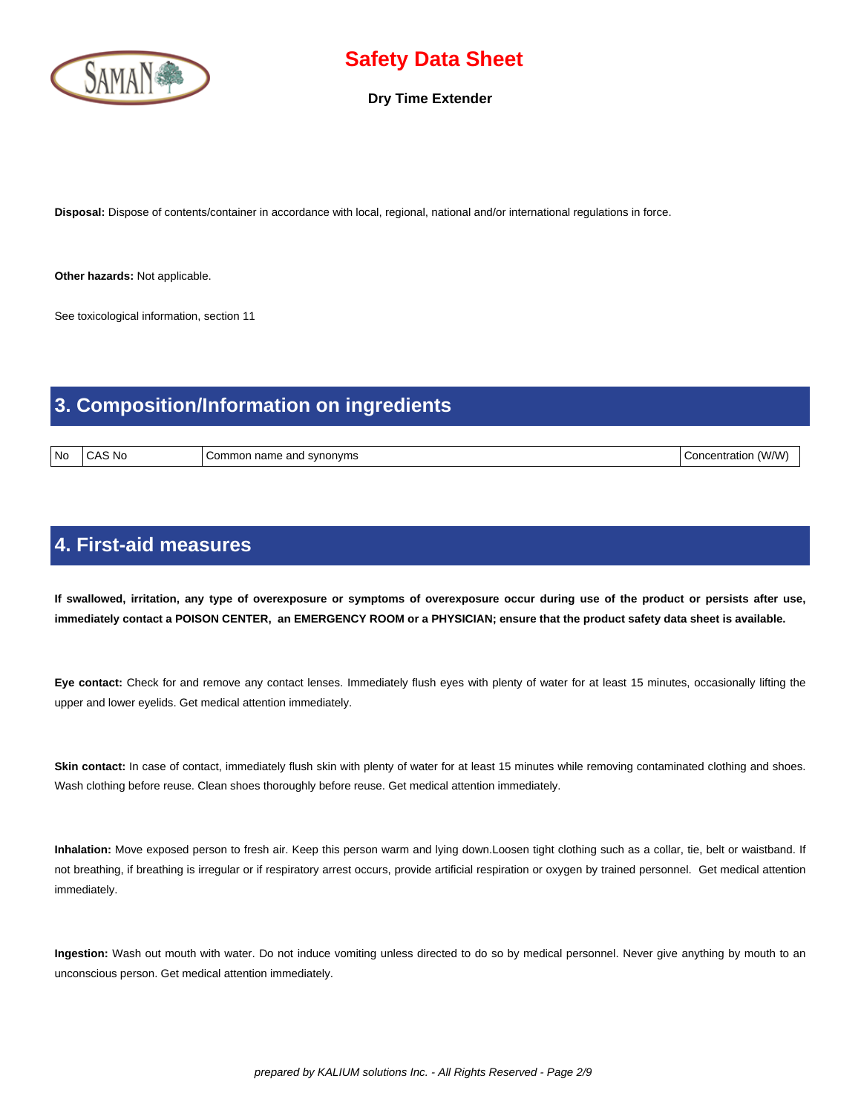

**Dry Time Extender**

**Disposal:** Dispose of contents/container in accordance with local, regional, national and/or international regulations in force.

**Other hazards:** Not applicable.

See toxicological information, section 11

### **3. Composition/Information on ingredients**

| l No | N0 | onvms<br>anc<br>$\sim$<br>…omr<br>าor<br>77 V<br>$\overline{a}$<br>.<br> | וחוזי.<br>$\mathbf{w}$<br>ותר<br>ત્રાાદ |
|------|----|--------------------------------------------------------------------------|-----------------------------------------|

### **4. First-aid measures**

 **If swallowed, irritation, any type of overexposure or symptoms of overexposure occur during use of the product or persists after use, immediately contact a POISON CENTER, an EMERGENCY ROOM or a PHYSICIAN; ensure that the product safety data sheet is available.**

**Eye contact:** Check for and remove any contact lenses. Immediately flush eyes with plenty of water for at least 15 minutes, occasionally lifting the upper and lower eyelids. Get medical attention immediately.

Skin contact: In case of contact, immediately flush skin with plenty of water for at least 15 minutes while removing contaminated clothing and shoes. Wash clothing before reuse. Clean shoes thoroughly before reuse. Get medical attention immediately.

**Inhalation:** Move exposed person to fresh air. Keep this person warm and lying down.Loosen tight clothing such as a collar, tie, belt or waistband. If not breathing, if breathing is irregular or if respiratory arrest occurs, provide artificial respiration or oxygen by trained personnel. Get medical attention immediately.

**Ingestion:** Wash out mouth with water. Do not induce vomiting unless directed to do so by medical personnel. Never give anything by mouth to an unconscious person. Get medical attention immediately.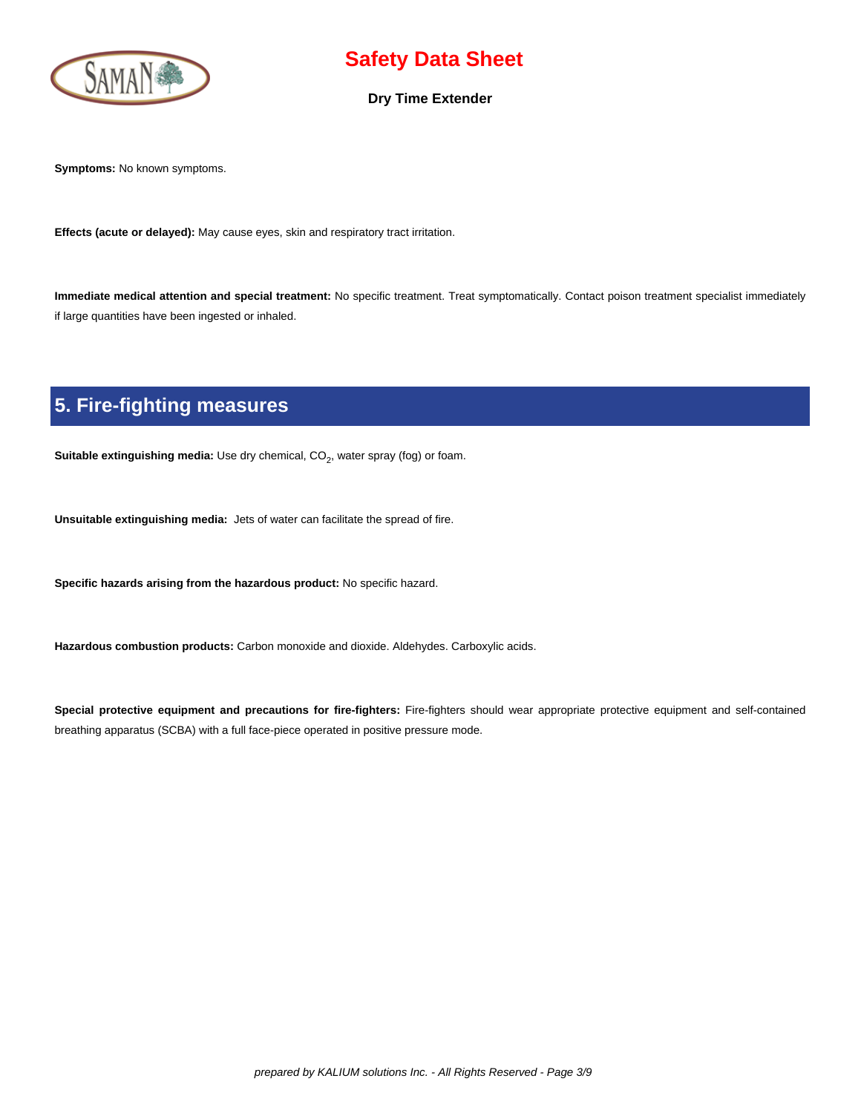

#### **Dry Time Extender**

**Symptoms:** No known symptoms.

**Effects (acute or delayed):** May cause eyes, skin and respiratory tract irritation.

**Immediate medical attention and special treatment:** No specific treatment. Treat symptomatically. Contact poison treatment specialist immediately if large quantities have been ingested or inhaled.

# **5. Fire-fighting measures**

**Suitable extinguishing media:** Use dry chemical, CO<sub>2</sub>, water spray (fog) or foam.

**Unsuitable extinguishing media:** Jets of water can facilitate the spread of fire.

**Specific hazards arising from the hazardous product:** No specific hazard.

**Hazardous combustion products:** Carbon monoxide and dioxide. Aldehydes. Carboxylic acids.

**Special protective equipment and precautions for fire-fighters:** Fire-fighters should wear appropriate protective equipment and self-contained breathing apparatus (SCBA) with a full face-piece operated in positive pressure mode.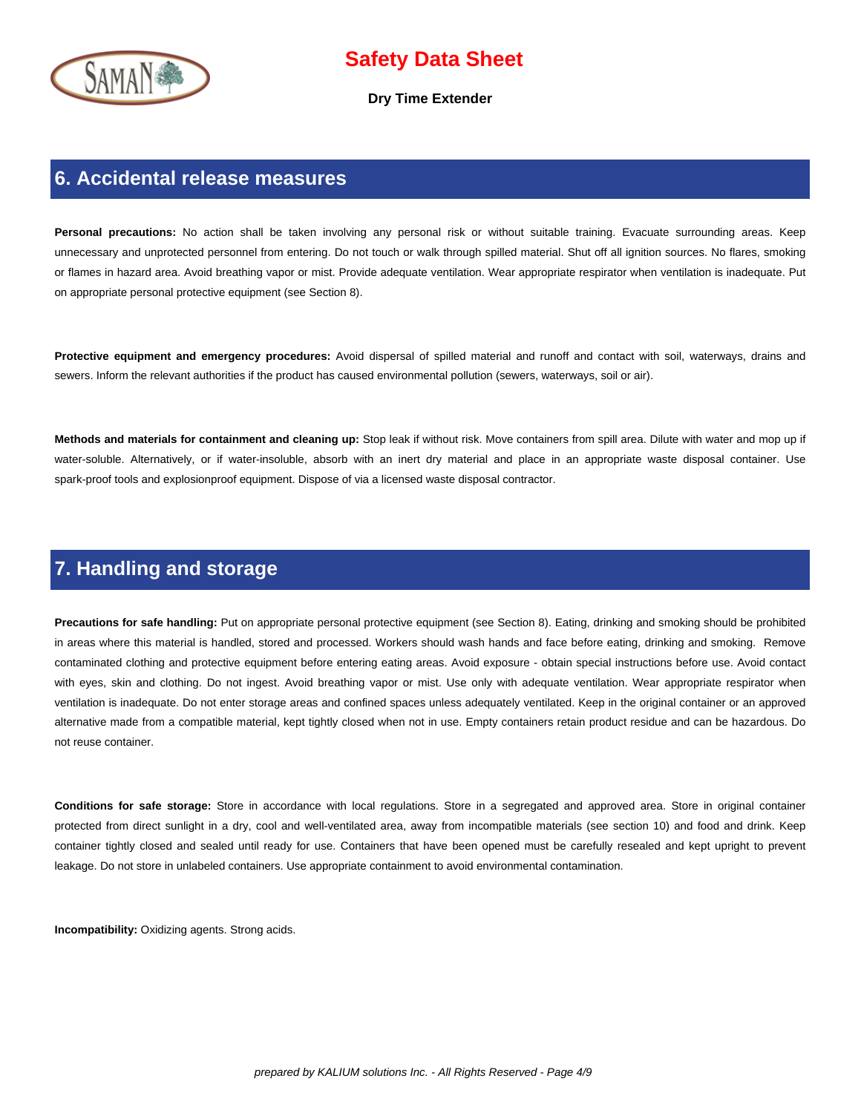

**Dry Time Extender**

### **6. Accidental release measures**

Personal precautions: No action shall be taken involving any personal risk or without suitable training. Evacuate surrounding areas. Keep unnecessary and unprotected personnel from entering. Do not touch or walk through spilled material. Shut off all ignition sources. No flares, smoking or flames in hazard area. Avoid breathing vapor or mist. Provide adequate ventilation. Wear appropriate respirator when ventilation is inadequate. Put on appropriate personal protective equipment (see Section 8).

**Protective equipment and emergency procedures:** Avoid dispersal of spilled material and runoff and contact with soil, waterways, drains and sewers. Inform the relevant authorities if the product has caused environmental pollution (sewers, waterways, soil or air).

**Methods and materials for containment and cleaning up:** Stop leak if without risk. Move containers from spill area. Dilute with water and mop up if water-soluble. Alternatively, or if water-insoluble, absorb with an inert dry material and place in an appropriate waste disposal container. Use spark-proof tools and explosionproof equipment. Dispose of via a licensed waste disposal contractor.

### **7. Handling and storage**

**Precautions for safe handling:** Put on appropriate personal protective equipment (see Section 8). Eating, drinking and smoking should be prohibited in areas where this material is handled, stored and processed. Workers should wash hands and face before eating, drinking and smoking. Remove contaminated clothing and protective equipment before entering eating areas. Avoid exposure - obtain special instructions before use. Avoid contact with eyes, skin and clothing. Do not ingest. Avoid breathing vapor or mist. Use only with adequate ventilation. Wear appropriate respirator when ventilation is inadequate. Do not enter storage areas and confined spaces unless adequately ventilated. Keep in the original container or an approved alternative made from a compatible material, kept tightly closed when not in use. Empty containers retain product residue and can be hazardous. Do not reuse container.

**Conditions for safe storage:** Store in accordance with local regulations. Store in a segregated and approved area. Store in original container protected from direct sunlight in a dry, cool and well-ventilated area, away from incompatible materials (see section 10) and food and drink. Keep container tightly closed and sealed until ready for use. Containers that have been opened must be carefully resealed and kept upright to prevent leakage. Do not store in unlabeled containers. Use appropriate containment to avoid environmental contamination.

**Incompatibility:** Oxidizing agents. Strong acids.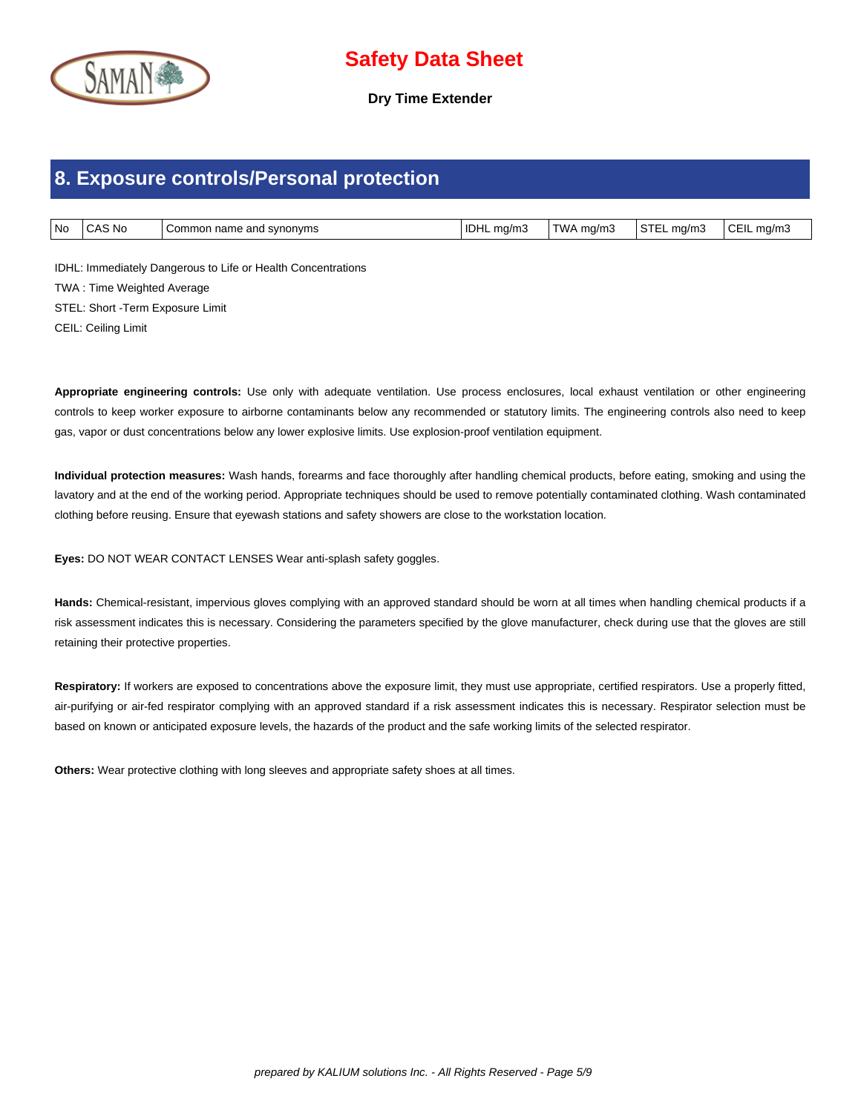

**Dry Time Extender**

### **8. Exposure controls/Personal protection**

| No | <b>CAS No</b> | Common name and svnonvms | <b>IDHL</b> ma/m3 | TWA mg/m3 | <b>STEL</b><br>ma/m3 | CEIL mg/m |
|----|---------------|--------------------------|-------------------|-----------|----------------------|-----------|

IDHL: Immediately Dangerous to Life or Health Concentrations TWA : Time Weighted Average STEL: Short -Term Exposure Limit CEIL: Ceiling Limit

**Appropriate engineering controls:** Use only with adequate ventilation. Use process enclosures, local exhaust ventilation or other engineering controls to keep worker exposure to airborne contaminants below any recommended or statutory limits. The engineering controls also need to keep gas, vapor or dust concentrations below any lower explosive limits. Use explosion-proof ventilation equipment.

**Individual protection measures:** Wash hands, forearms and face thoroughly after handling chemical products, before eating, smoking and using the lavatory and at the end of the working period. Appropriate techniques should be used to remove potentially contaminated clothing. Wash contaminated clothing before reusing. Ensure that eyewash stations and safety showers are close to the workstation location.

**Eyes:** DO NOT WEAR CONTACT LENSES Wear anti-splash safety goggles.

**Hands:** Chemical-resistant, impervious gloves complying with an approved standard should be worn at all times when handling chemical products if a risk assessment indicates this is necessary. Considering the parameters specified by the glove manufacturer, check during use that the gloves are still retaining their protective properties.

Respiratory: If workers are exposed to concentrations above the exposure limit, they must use appropriate, certified respirators. Use a properly fitted, air-purifying or air-fed respirator complying with an approved standard if a risk assessment indicates this is necessary. Respirator selection must be based on known or anticipated exposure levels, the hazards of the product and the safe working limits of the selected respirator.

**Others:** Wear protective clothing with long sleeves and appropriate safety shoes at all times.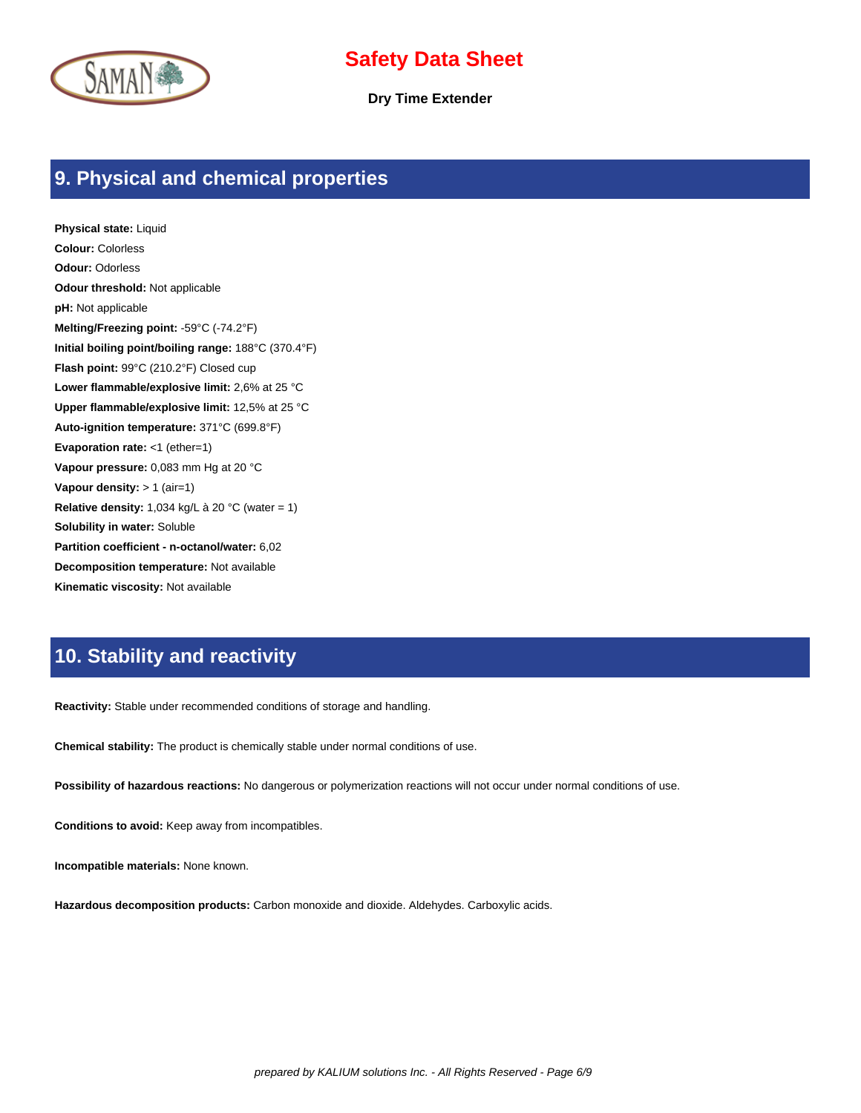



**Dry Time Extender**

### **9. Physical and chemical properties**

**Physical state:** Liquid **Colour:** Colorless **Odour:** Odorless **Odour threshold:** Not applicable **pH:** Not applicable **Melting/Freezing point:** -59°C (-74.2°F) **Initial boiling point/boiling range:** 188°C (370.4°F) **Flash point:** 99°C (210.2°F) Closed cup **Lower flammable/explosive limit:** 2,6% at 25 °C **Upper flammable/explosive limit:** 12,5% at 25 °C **Auto-ignition temperature:** 371°C (699.8°F) **Evaporation rate:** <1 (ether=1) **Vapour pressure:** 0,083 mm Hg at 20 °C **Vapour density:** > 1 (air=1) **Relative density:** 1,034 kg/L à 20 °C (water = 1) **Solubility in water:** Soluble **Partition coefficient - n-octanol/water:** 6,02 **Decomposition temperature:** Not available **Kinematic viscosity:** Not available

### **10. Stability and reactivity**

**Reactivity:** Stable under recommended conditions of storage and handling.

**Chemical stability:** The product is chemically stable under normal conditions of use.

**Possibility of hazardous reactions:** No dangerous or polymerization reactions will not occur under normal conditions of use.

**Conditions to avoid:** Keep away from incompatibles.

**Incompatible materials:** None known.

**Hazardous decomposition products:** Carbon monoxide and dioxide. Aldehydes. Carboxylic acids.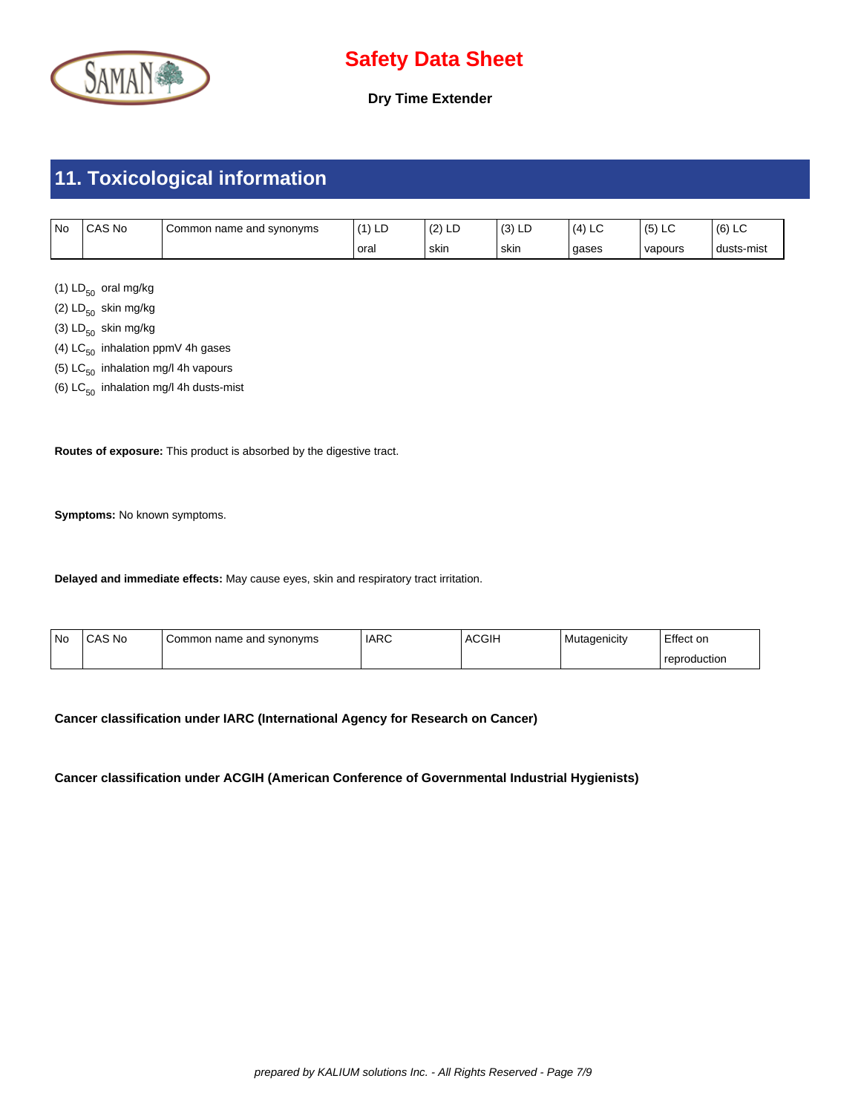

**Dry Time Extender**

# **11. Toxicological information**

| <b>No</b> | CAS No | Common name and synonyms | $\mathbf{A}$<br>LЕ | (0)<br>ᆸ<br>١Z | $\sim$<br>၂၁) LL | 14<br>└ | ∼       | (6)<br>∼   |
|-----------|--------|--------------------------|--------------------|----------------|------------------|---------|---------|------------|
|           |        |                          | oral               | skin           | skin             | gases   | vapours | dusts-mist |

(1)  $LD_{50}$  oral mg/kg

(2)  $LD_{50}$  skin mg/kg

- (3)  $LD_{50}$  skin mg/kg
- (4)  $LC_{50}$  inhalation ppmV 4h gases
- (5)  $LC_{50}$  inhalation mg/l 4h vapours
- (6)  $LC_{50}$  inhalation mg/l 4h dusts-mist

**Routes of exposure:** This product is absorbed by the digestive tract.

**Symptoms:** No known symptoms.

**Delayed and immediate effects:** May cause eyes, skin and respiratory tract irritation.

| l No | CAS No | Common name and synonyms | l IARC | <b>ACGIH</b> | Mutagenicity | Effect on    |
|------|--------|--------------------------|--------|--------------|--------------|--------------|
|      |        |                          |        |              |              | reproduction |

**Cancer classification under IARC (International Agency for Research on Cancer)**

**Cancer classification under ACGIH (American Conference of Governmental Industrial Hygienists)**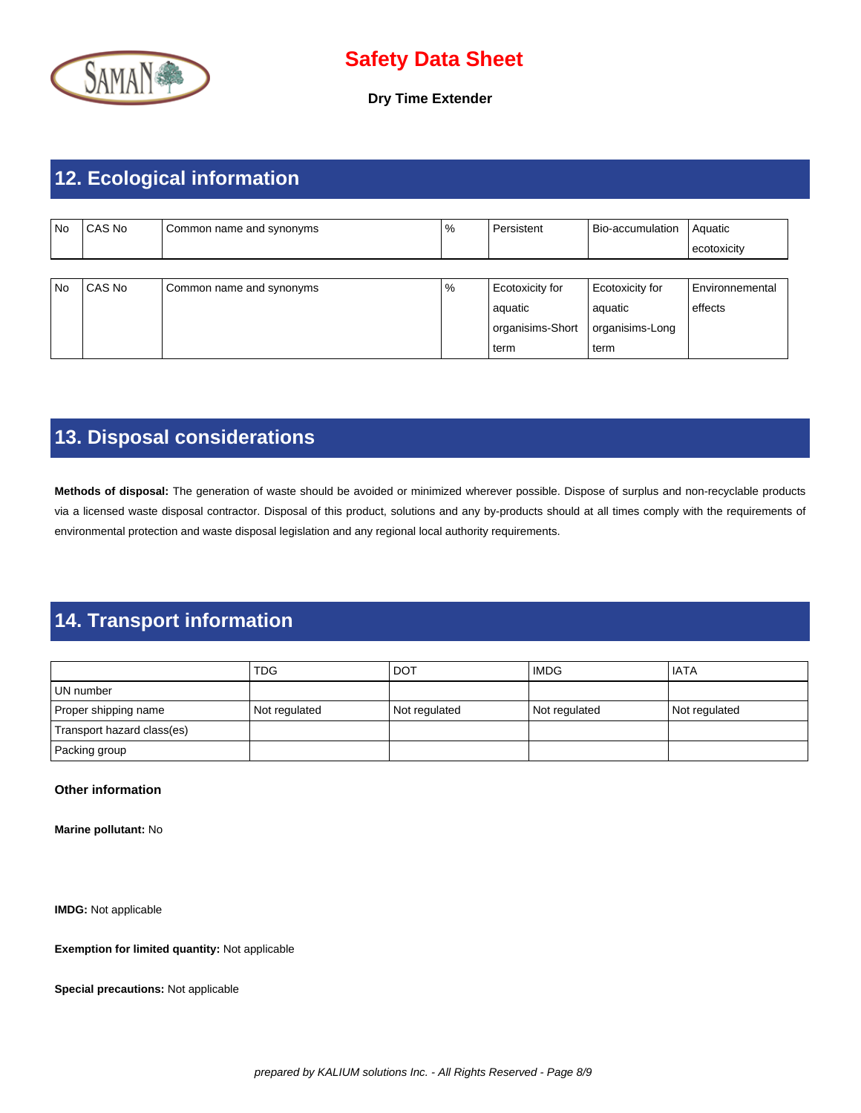

**Dry Time Extender**

# **12. Ecological information**

| No | CAS No | Common name and synonyms | % | Persistent       | Bio-accumulation | Aquatic<br>ecotoxicity |
|----|--------|--------------------------|---|------------------|------------------|------------------------|
|    |        |                          |   |                  |                  |                        |
| No | CAS No | Common name and synonyms | % | Ecotoxicity for  | Ecotoxicity for  | Environnemental        |
|    |        |                          |   | aquatic          | aquatic          | effects                |
|    |        |                          |   | organisims-Short | organisims-Long  |                        |
|    |        |                          |   | term             | term             |                        |

# **13. Disposal considerations**

**Methods of disposal:** The generation of waste should be avoided or minimized wherever possible. Dispose of surplus and non-recyclable products via a licensed waste disposal contractor. Disposal of this product, solutions and any by-products should at all times comply with the requirements of environmental protection and waste disposal legislation and any regional local authority requirements.

# **14. Transport information**

|                            | <b>TDG</b>    | <b>DOT</b>    | <b>IMDG</b>   | l IATA        |
|----------------------------|---------------|---------------|---------------|---------------|
| l UN number                |               |               |               |               |
| Proper shipping name       | Not regulated | Not regulated | Not regulated | Not regulated |
| Transport hazard class(es) |               |               |               |               |
| Packing group              |               |               |               |               |

#### **Other information**

**Marine pollutant:** No

**IMDG:** Not applicable

**Exemption for limited quantity:** Not applicable

**Special precautions:** Not applicable